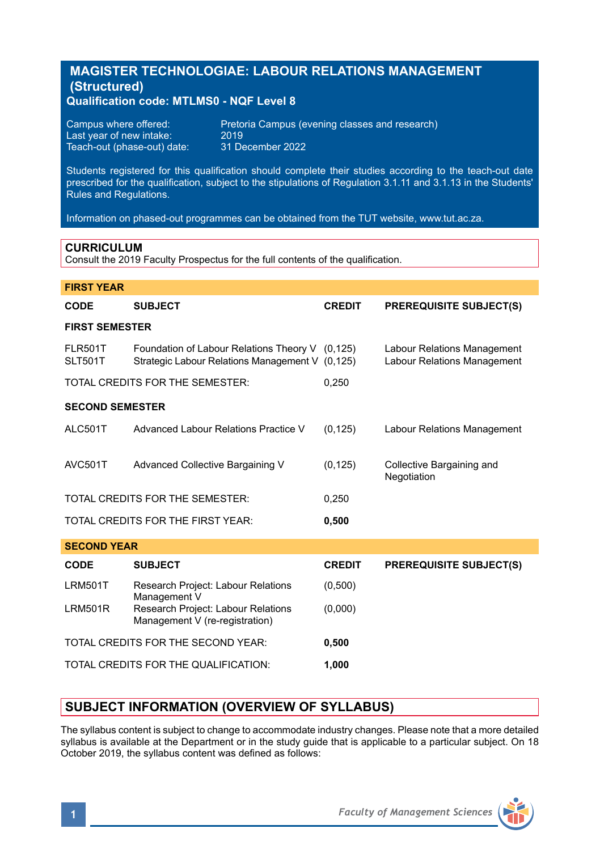# **MAGISTER TECHNOLOGIAE: LABOUR RELATIONS MANAGEMENT (Structured)**

**Qualification code: MTLMS0 - NQF Level 8** 

| Campus where offered:       | Preto |
|-----------------------------|-------|
| Last year of new intake:    | 2019  |
| Teach-out (phase-out) date: | 31 D  |

Pretoria Campus (evening classes and research)<br>2019 31 December 2022

Students registered for this qualification should complete their studies according to the teach-out date prescribed for the qualification, subject to the stipulations of Regulation 3.1.11 and 3.1.13 in the Students' Rules and Regulations.

Information on phased-out programmes can be obtained from the TUT website, www.tut.ac.za.

#### **CURRICULUM**

Consult the 2019 Faculty Prospectus for the full contents of the qualification.

| <b>FIRST YEAR</b>                |                                                                                                    |               |                                                            |  |
|----------------------------------|----------------------------------------------------------------------------------------------------|---------------|------------------------------------------------------------|--|
| <b>CODE</b>                      | <b>SUBJECT</b>                                                                                     | <b>CREDIT</b> | <b>PREREQUISITE SUBJECT(S)</b>                             |  |
| <b>FIRST SEMESTER</b>            |                                                                                                    |               |                                                            |  |
| <b>FLR501T</b><br><b>SLT501T</b> | Foundation of Labour Relations Theory V (0,125)<br>Strategic Labour Relations Management V (0,125) |               | Labour Relations Management<br>Labour Relations Management |  |
|                                  | TOTAL CREDITS FOR THE SEMESTER:                                                                    | 0,250         |                                                            |  |
| <b>SECOND SEMESTER</b>           |                                                                                                    |               |                                                            |  |
| ALC501T                          | Advanced Labour Relations Practice V                                                               | (0, 125)      | <b>Labour Relations Management</b>                         |  |
| AVC501T                          | Advanced Collective Bargaining V                                                                   | (0, 125)      | Collective Bargaining and<br>Negotiation                   |  |
|                                  | TOTAL CREDITS FOR THE SEMESTER:                                                                    | 0,250         |                                                            |  |
|                                  | TOTAL CREDITS FOR THE FIRST YEAR:                                                                  | 0,500         |                                                            |  |
| <b>SECOND YEAR</b>               |                                                                                                    |               |                                                            |  |
| CODE                             | <b>SUBJECT</b>                                                                                     | <b>CREDIT</b> | <b>PREREQUISITE SUBJECT(S)</b>                             |  |
| <b>LRM501T</b>                   | Research Project: Labour Relations<br>Management V                                                 | (0,500)       |                                                            |  |
| <b>LRM501R</b>                   | Research Project: Labour Relations<br>Management V (re-registration)                               | (0,000)       |                                                            |  |
|                                  | TOTAL CREDITS FOR THE SECOND YEAR:                                                                 | 0,500         |                                                            |  |
|                                  | TOTAL CREDITS FOR THE QUALIFICATION:                                                               | 1,000         |                                                            |  |

# **SUBJECT INFORMATION (OVERVIEW OF SYLLABUS)**

The syllabus content is subject to change to accommodate industry changes. Please note that a more detailed syllabus is available at the Department or in the study guide that is applicable to a particular subject. On 18 October 2019, the syllabus content was defined as follows: